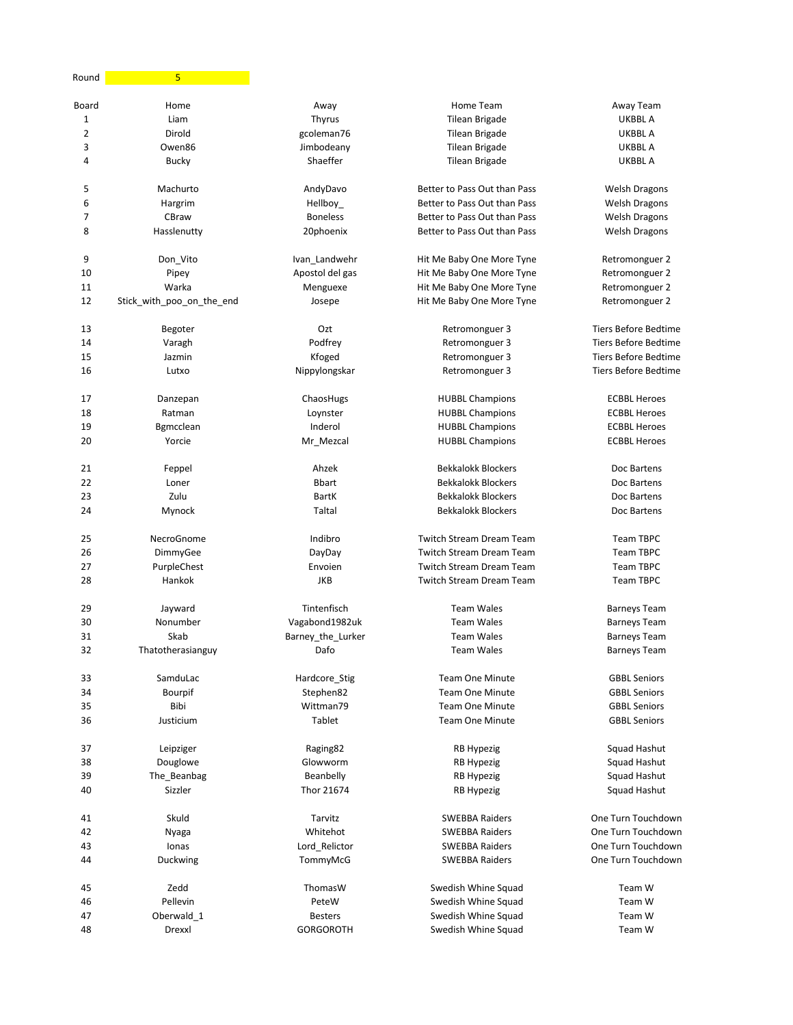| Round | 5                         |                   |                                 |                             |
|-------|---------------------------|-------------------|---------------------------------|-----------------------------|
| Board | Home                      | Away              | Home Team                       | Away Team                   |
| 1     | Liam                      | Thyrus            | Tilean Brigade                  | <b>UKBBL A</b>              |
| 2     | Dirold                    | gcoleman76        | <b>Tilean Brigade</b>           | <b>UKBBL A</b>              |
| 3     | Owen86                    | Jimbodeany        | <b>Tilean Brigade</b>           | <b>UKBBLA</b>               |
| 4     | <b>Bucky</b>              | Shaeffer          | <b>Tilean Brigade</b>           | <b>UKBBLA</b>               |
| 5     | Machurto                  | AndyDavo          | Better to Pass Out than Pass    | <b>Welsh Dragons</b>        |
| 6     | Hargrim                   | Hellboy_          | Better to Pass Out than Pass    | <b>Welsh Dragons</b>        |
| 7     | CBraw                     | <b>Boneless</b>   | Better to Pass Out than Pass    | <b>Welsh Dragons</b>        |
| 8     | Hasslenutty               | 20phoenix         | Better to Pass Out than Pass    | <b>Welsh Dragons</b>        |
| 9     | Don_Vito                  | Ivan_Landwehr     | Hit Me Baby One More Tyne       | Retromonguer 2              |
| 10    | Pipey                     | Apostol del gas   | Hit Me Baby One More Tyne       | Retromonguer 2              |
| 11    | Warka                     | Menguexe          | Hit Me Baby One More Tyne       | Retromonguer 2              |
| 12    | Stick_with_poo_on_the_end | Josepe            | Hit Me Baby One More Tyne       | Retromonguer 2              |
| 13    | Begoter                   | Ozt               | Retromonguer 3                  | <b>Tiers Before Bedtime</b> |
| 14    | Varagh                    | Podfrey           | Retromonguer 3                  | <b>Tiers Before Bedtime</b> |
| 15    | Jazmin                    | Kfoged            | Retromonguer 3                  | <b>Tiers Before Bedtime</b> |
| 16    | Lutxo                     | Nippylongskar     | Retromonguer 3                  | <b>Tiers Before Bedtime</b> |
| 17    | Danzepan                  | ChaosHugs         | <b>HUBBL Champions</b>          | <b>ECBBL Heroes</b>         |
| 18    | Ratman                    | Loynster          | <b>HUBBL Champions</b>          | <b>ECBBL Heroes</b>         |
| 19    | Bgmcclean                 | Inderol           | <b>HUBBL Champions</b>          | <b>ECBBL Heroes</b>         |
| 20    | Yorcie                    | Mr_Mezcal         | <b>HUBBL Champions</b>          | <b>ECBBL Heroes</b>         |
| 21    | Feppel                    | Ahzek             | <b>Bekkalokk Blockers</b>       | Doc Bartens                 |
| 22    | Loner                     | <b>Bbart</b>      | <b>Bekkalokk Blockers</b>       | Doc Bartens                 |
| 23    | Zulu                      | <b>BartK</b>      | <b>Bekkalokk Blockers</b>       | Doc Bartens                 |
| 24    | Mynock                    | Taltal            | <b>Bekkalokk Blockers</b>       | Doc Bartens                 |
| 25    | NecroGnome                | Indibro           | <b>Twitch Stream Dream Team</b> | <b>Team TBPC</b>            |
| 26    | DimmyGee                  | DayDay            | <b>Twitch Stream Dream Team</b> | <b>Team TBPC</b>            |
| 27    | PurpleChest               | Envoien           | <b>Twitch Stream Dream Team</b> | <b>Team TBPC</b>            |
| 28    | Hankok                    | <b>JKB</b>        | <b>Twitch Stream Dream Team</b> | <b>Team TBPC</b>            |
| 29    | Jayward                   | Tintenfisch       | <b>Team Wales</b>               | <b>Barneys Team</b>         |
| 30    | Nonumber                  | Vagabond1982uk    | <b>Team Wales</b>               | <b>Barneys Team</b>         |
| 31    | Skab                      | Barney_the_Lurker | <b>Team Wales</b>               | <b>Barneys Team</b>         |
| 32    | Thatotherasianguy         | Dafo              | <b>Team Wales</b>               | <b>Barneys Team</b>         |
| 33    | SamduLac                  | Hardcore_Stig     | <b>Team One Minute</b>          | <b>GBBL Seniors</b>         |
| 34    | Bourpif                   | Stephen82         | <b>Team One Minute</b>          | <b>GBBL Seniors</b>         |
| 35    | Bibi                      | Wittman79         | <b>Team One Minute</b>          | <b>GBBL Seniors</b>         |
| 36    | Justicium                 | Tablet            | <b>Team One Minute</b>          | <b>GBBL Seniors</b>         |
| 37    | Leipziger                 | Raging82          | <b>RB Hypezig</b>               | Squad Hashut                |
| 38    | Douglowe                  | Glowworm          | <b>RB Hypezig</b>               | Squad Hashut                |
| 39    | The_Beanbag               | Beanbelly         | <b>RB Hypezig</b>               | Squad Hashut                |
| 40    | Sizzler                   | Thor 21674        | <b>RB Hypezig</b>               | Squad Hashut                |
| 41    | Skuld                     | Tarvitz           | <b>SWEBBA Raiders</b>           | One Turn Touchdown          |
| 42    | Nyaga                     | Whitehot          | <b>SWEBBA Raiders</b>           | One Turn Touchdown          |
| 43    | Ionas                     | Lord_Relictor     | <b>SWEBBA Raiders</b>           | One Turn Touchdown          |
| 44    | Duckwing                  | TommyMcG          | <b>SWEBBA Raiders</b>           | One Turn Touchdown          |
| 45    | Zedd                      | ThomasW           | Swedish Whine Squad             | Team W                      |
| 46    | Pellevin                  | PeteW             | Swedish Whine Squad             | Team W                      |
| 47    | Oberwald_1                | <b>Besters</b>    | Swedish Whine Squad             | Team W                      |
| 48    | Drexxl                    | <b>GORGOROTH</b>  | Swedish Whine Squad             | Team W                      |
|       |                           |                   |                                 |                             |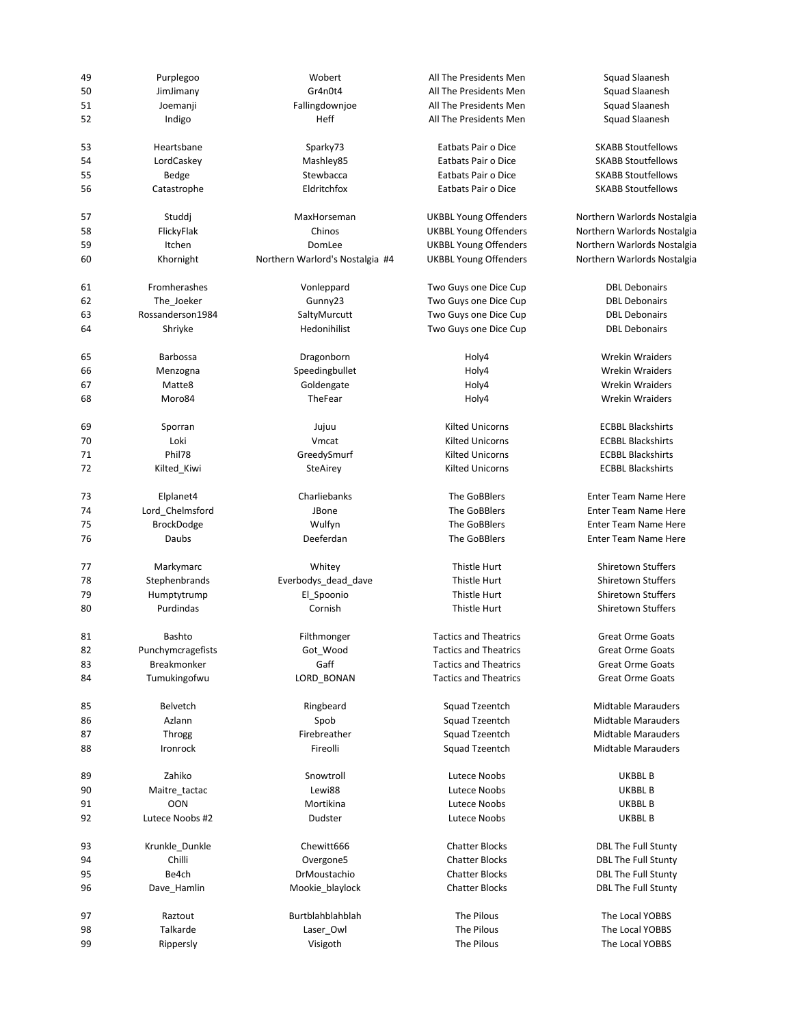| 49 | Purplegoo         | Wobert                          | All The Presidents Men       | Squad Slaanesh              |
|----|-------------------|---------------------------------|------------------------------|-----------------------------|
| 50 | JimJimany         | Gr4n0t4                         | All The Presidents Men       | Squad Slaanesh              |
| 51 | Joemanji          | Fallingdownjoe                  | All The Presidents Men       | Squad Slaanesh              |
| 52 | Indigo            | Heff                            | All The Presidents Men       | Squad Slaanesh              |
|    |                   |                                 |                              |                             |
| 53 | Heartsbane        | Sparky73                        | Eatbats Pair o Dice          | <b>SKABB Stoutfellows</b>   |
| 54 | LordCaskey        | Mashley85                       | Eatbats Pair o Dice          | <b>SKABB Stoutfellows</b>   |
| 55 | Bedge             | Stewbacca                       | Eatbats Pair o Dice          | <b>SKABB Stoutfellows</b>   |
| 56 | Catastrophe       | Eldritchfox                     | Eatbats Pair o Dice          | <b>SKABB Stoutfellows</b>   |
| 57 |                   |                                 |                              |                             |
|    | Studdj            | MaxHorseman                     | <b>UKBBL Young Offenders</b> | Northern Warlords Nostalgia |
| 58 | FlickyFlak        | Chinos                          | <b>UKBBL Young Offenders</b> | Northern Warlords Nostalgia |
| 59 | Itchen            | DomLee                          | <b>UKBBL Young Offenders</b> | Northern Warlords Nostalgia |
| 60 | Khornight         | Northern Warlord's Nostalgia #4 | <b>UKBBL Young Offenders</b> | Northern Warlords Nostalgia |
| 61 | Fromherashes      | Vonleppard                      | Two Guys one Dice Cup        | <b>DBL Debonairs</b>        |
| 62 | The_Joeker        | Gunny23                         | Two Guys one Dice Cup        | <b>DBL Debonairs</b>        |
| 63 | Rossanderson1984  | SaltyMurcutt                    | Two Guys one Dice Cup        | <b>DBL Debonairs</b>        |
| 64 | Shriyke           | Hedonihilist                    | Two Guys one Dice Cup        | <b>DBL Debonairs</b>        |
|    |                   |                                 |                              |                             |
| 65 | <b>Barbossa</b>   | Dragonborn                      | Holy4                        | <b>Wrekin Wraiders</b>      |
| 66 | Menzogna          | Speedingbullet                  | Holy4                        | <b>Wrekin Wraiders</b>      |
| 67 | Matte8            | Goldengate                      | Holy4                        | <b>Wrekin Wraiders</b>      |
| 68 | Moro84            | TheFear                         | Holy4                        | <b>Wrekin Wraiders</b>      |
| 69 | Sporran           | Jujuu                           | <b>Kilted Unicorns</b>       | <b>ECBBL Blackshirts</b>    |
| 70 | Loki              | Vmcat                           | <b>Kilted Unicorns</b>       | <b>ECBBL Blackshirts</b>    |
| 71 | Phil78            | GreedySmurf                     | <b>Kilted Unicorns</b>       | <b>ECBBL Blackshirts</b>    |
| 72 |                   |                                 | <b>Kilted Unicorns</b>       | <b>ECBBL Blackshirts</b>    |
|    | Kilted_Kiwi       | SteAirey                        |                              |                             |
| 73 | Elplanet4         | Charliebanks                    | The GoBBlers                 | <b>Enter Team Name Here</b> |
| 74 | Lord_Chelmsford   | JBone                           | The GoBBlers                 | <b>Enter Team Name Here</b> |
| 75 | <b>BrockDodge</b> | Wulfyn                          | The GoBBlers                 | <b>Enter Team Name Here</b> |
| 76 | Daubs             | Deeferdan                       | The GoBBlers                 | <b>Enter Team Name Here</b> |
| 77 | Markymarc         | Whitey                          | Thistle Hurt                 | <b>Shiretown Stuffers</b>   |
| 78 | Stephenbrands     | Everbodys_dead_dave             | Thistle Hurt                 | <b>Shiretown Stuffers</b>   |
| 79 | Humptytrump       | El Spoonio                      |                              | <b>Shiretown Stuffers</b>   |
|    |                   |                                 | Thistle Hurt                 |                             |
| 80 | Purdindas         | Cornish                         | Thistle Hurt                 | <b>Shiretown Stuffers</b>   |
| 81 | <b>Bashto</b>     | Filthmonger                     | <b>Tactics and Theatrics</b> | <b>Great Orme Goats</b>     |
| 82 | Punchymcragefists | Got_Wood                        | <b>Tactics and Theatrics</b> | <b>Great Orme Goats</b>     |
| 83 | Breakmonker       | Gaff                            | <b>Tactics and Theatrics</b> | <b>Great Orme Goats</b>     |
| 84 | Tumukingofwu      | LORD_BONAN                      | <b>Tactics and Theatrics</b> | <b>Great Orme Goats</b>     |
|    |                   |                                 |                              |                             |
| 85 | Belvetch          | Ringbeard                       | Squad Tzeentch               | <b>Midtable Marauders</b>   |
| 86 | Azlann            | Spob                            | Squad Tzeentch               | <b>Midtable Marauders</b>   |
| 87 | Throgg            | Firebreather                    | Squad Tzeentch               | <b>Midtable Marauders</b>   |
| 88 | Ironrock          | Fireolli                        | Squad Tzeentch               | <b>Midtable Marauders</b>   |
| 89 | Zahiko            | Snowtroll                       | Lutece Noobs                 | UKBBL B                     |
| 90 | Maitre_tactac     | Lewi88                          | Lutece Noobs                 | UKBBL B                     |
| 91 | <b>OON</b>        | Mortikina                       | Lutece Noobs                 | UKBBL B                     |
| 92 | Lutece Noobs #2   | Dudster                         | Lutece Noobs                 | UKBBL B                     |
|    |                   |                                 |                              |                             |
| 93 | Krunkle_Dunkle    | Chewitt666                      | <b>Chatter Blocks</b>        | <b>DBL The Full Stunty</b>  |
| 94 | Chilli            | Overgone5                       | <b>Chatter Blocks</b>        | <b>DBL The Full Stunty</b>  |
| 95 | Be4ch             | DrMoustachio                    | <b>Chatter Blocks</b>        | <b>DBL The Full Stunty</b>  |
| 96 | Dave_Hamlin       | Mookie_blaylock                 | <b>Chatter Blocks</b>        | <b>DBL The Full Stunty</b>  |
| 97 | Raztout           | Burtblahblahblah                | The Pilous                   | The Local YOBBS             |
| 98 | Talkarde          | Laser_Owl                       | The Pilous                   | The Local YOBBS             |
| 99 |                   |                                 | The Pilous                   | The Local YOBBS             |
|    | Rippersly         | Visigoth                        |                              |                             |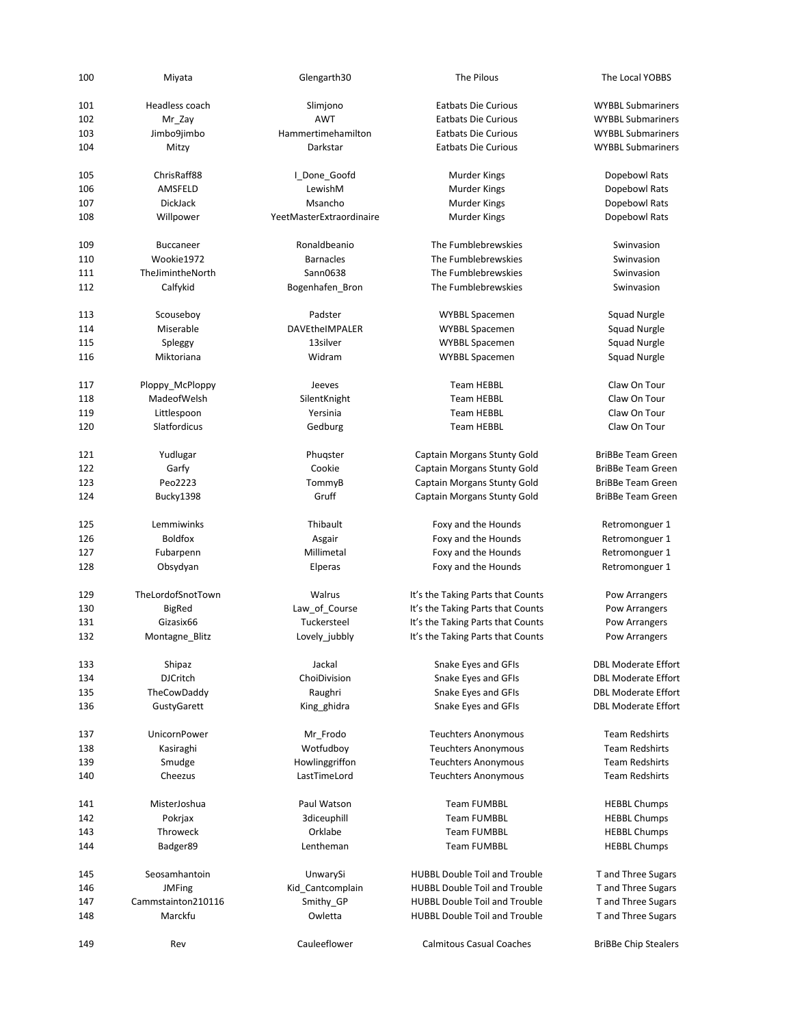| 100 | Miyata             | Glengarth30              | The Pilous                           | The Local YOBBS             |
|-----|--------------------|--------------------------|--------------------------------------|-----------------------------|
| 101 | Headless coach     | Slimjono                 | <b>Eatbats Die Curious</b>           | <b>WYBBL Submariners</b>    |
| 102 | Mr_Zay             | <b>AWT</b>               | <b>Eatbats Die Curious</b>           | <b>WYBBL Submariners</b>    |
| 103 | Jimbo9jimbo        | Hammertimehamilton       | <b>Eatbats Die Curious</b>           | <b>WYBBL Submariners</b>    |
| 104 | Mitzy              | Darkstar                 | <b>Eatbats Die Curious</b>           | <b>WYBBL Submariners</b>    |
| 105 | ChrisRaff88        | I_Done_Goofd             | Murder Kings                         | Dopebowl Rats               |
| 106 | AMSFELD            | LewishM                  | Murder Kings                         | Dopebowl Rats               |
| 107 | DickJack           | Msancho                  | Murder Kings                         | Dopebowl Rats               |
| 108 | Willpower          | YeetMasterExtraordinaire | <b>Murder Kings</b>                  | Dopebowl Rats               |
| 109 | <b>Buccaneer</b>   | Ronaldbeanio             | The Fumblebrewskies                  | Swinvasion                  |
| 110 | Wookie1972         | <b>Barnacles</b>         | The Fumblebrewskies                  | Swinvasion                  |
| 111 | TheJimintheNorth   | Sann0638                 | The Fumblebrewskies                  | Swinvasion                  |
| 112 | Calfykid           | Bogenhafen_Bron          | The Fumblebrewskies                  | Swinvasion                  |
| 113 | Scouseboy          | Padster                  | WYBBL Spacemen                       | Squad Nurgle                |
| 114 | Miserable          | DAVEtheIMPALER           | <b>WYBBL Spacemen</b>                | <b>Squad Nurgle</b>         |
| 115 | Spleggy            | 13silver                 | <b>WYBBL Spacemen</b>                | <b>Squad Nurgle</b>         |
| 116 | Miktoriana         | Widram                   | <b>WYBBL Spacemen</b>                | <b>Squad Nurgle</b>         |
|     |                    |                          |                                      |                             |
| 117 | Ploppy_McPloppy    | Jeeves                   | <b>Team HEBBL</b>                    | Claw On Tour                |
| 118 | MadeofWelsh        | SilentKnight             | <b>Team HEBBL</b>                    | Claw On Tour                |
| 119 | Littlespoon        | Yersinia                 | <b>Team HEBBL</b>                    | Claw On Tour                |
| 120 | Slatfordicus       | Gedburg                  | <b>Team HEBBL</b>                    | Claw On Tour                |
|     |                    |                          |                                      |                             |
| 121 | Yudlugar           | Phugster                 | Captain Morgans Stunty Gold          | <b>BriBBe Team Green</b>    |
| 122 | Garfy              | Cookie                   | Captain Morgans Stunty Gold          | <b>BriBBe Team Green</b>    |
| 123 | Peo2223            | TommyB                   | Captain Morgans Stunty Gold          | <b>BriBBe Team Green</b>    |
| 124 | Bucky1398          | Gruff                    | Captain Morgans Stunty Gold          | <b>BriBBe Team Green</b>    |
| 125 | Lemmiwinks         | Thibault                 | Foxy and the Hounds                  | Retromonguer 1              |
| 126 | <b>Boldfox</b>     | Asgair                   | Foxy and the Hounds                  | Retromonguer 1              |
| 127 | Fubarpenn          | Millimetal               | Foxy and the Hounds                  | Retromonguer 1              |
| 128 | Obsydyan           | Elperas                  | Foxy and the Hounds                  | Retromonguer 1              |
| 129 | TheLordofSnotTown  | Walrus                   | It's the Taking Parts that Counts    | Pow Arrangers               |
| 130 | <b>BigRed</b>      | Law_of_Course            | It's the Taking Parts that Counts    | Pow Arrangers               |
| 131 | Gizasix66          | Tuckersteel              | It's the Taking Parts that Counts    | Pow Arrangers               |
| 132 | Montagne_Blitz     | Lovely jubbly            | It's the Taking Parts that Counts    | Pow Arrangers               |
| 133 | Shipaz             | Jackal                   | Snake Eyes and GFIs                  | <b>DBL Moderate Effort</b>  |
|     |                    | ChoiDivision             |                                      |                             |
| 134 | <b>DJCritch</b>    |                          | Snake Eyes and GFIs                  | <b>DBL Moderate Effort</b>  |
| 135 | TheCowDaddy        | Raughri                  | Snake Eyes and GFIs                  | <b>DBL Moderate Effort</b>  |
| 136 | GustyGarett        | King ghidra              | Snake Eyes and GFIs                  | <b>DBL Moderate Effort</b>  |
| 137 | UnicornPower       | Mr_Frodo                 | <b>Teuchters Anonymous</b>           | <b>Team Redshirts</b>       |
| 138 | Kasiraghi          | Wotfudboy                | <b>Teuchters Anonymous</b>           | <b>Team Redshirts</b>       |
| 139 | Smudge             | Howlinggriffon           | <b>Teuchters Anonymous</b>           | <b>Team Redshirts</b>       |
| 140 | Cheezus            | LastTimeLord             | <b>Teuchters Anonymous</b>           | <b>Team Redshirts</b>       |
| 141 | MisterJoshua       | Paul Watson              | <b>Team FUMBBL</b>                   | <b>HEBBL Chumps</b>         |
| 142 | Pokrjax            | 3diceuphill              | <b>Team FUMBBL</b>                   | <b>HEBBL Chumps</b>         |
| 143 | Throweck           | Orklabe                  | <b>Team FUMBBL</b>                   | <b>HEBBL Chumps</b>         |
| 144 | Badger89           | Lentheman                | <b>Team FUMBBL</b>                   | <b>HEBBL Chumps</b>         |
| 145 | Seosamhantoin      | UnwarySi                 | <b>HUBBL Double Toil and Trouble</b> | T and Three Sugars          |
| 146 | <b>JMFing</b>      | Kid_Cantcomplain         | <b>HUBBL Double Toil and Trouble</b> | T and Three Sugars          |
|     |                    |                          |                                      |                             |
| 147 | Cammstainton210116 | Smithy_GP                | <b>HUBBL Double Toil and Trouble</b> | T and Three Sugars          |
| 148 | Marckfu            | Owletta                  | <b>HUBBL Double Toil and Trouble</b> | T and Three Sugars          |
| 149 | Rev                | Cauleeflower             | <b>Calmitous Casual Coaches</b>      | <b>BriBBe Chip Stealers</b> |